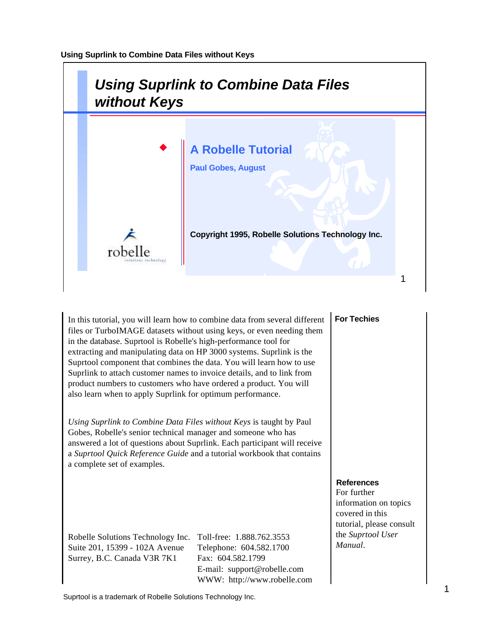

In this tutorial, you will learn how to combine data from several different files or TurboIMAGE datasets without using keys, or even needing them in the database. Suprtool is Robelle's high-performance tool for extracting and manipulating data on HP 3000 systems. Suprlink is the Suprtool component that combines the data. You will learn how to use Suprlink to attach customer names to invoice details, and to link from product numbers to customers who have ordered a product. You will also learn when to apply Suprlink for optimum performance.

*Using Suprlink to Combine Data Files without Keys* is taught by Paul Gobes, Robelle's senior technical manager and someone who has answered a lot of questions about Suprlink. Each participant will receive a *Suprtool Quick Reference Guide* and a tutorial workbook that contains a complete set of examples.

Robelle Solutions Technology Inc. Toll-free: 1.888.762.3553 Suite 201, 15399 - 102A Avenue Telephone: 604.582.1700 Surrey, B.C. Canada V3R 7K1 Fax: 604.582.1799

E-mail: support@robelle.com WWW: http://www.robelle.com

### **For Techies**

#### **References**

For further information on topics covered in this tutorial, please consult the *Suprtool User Manual*.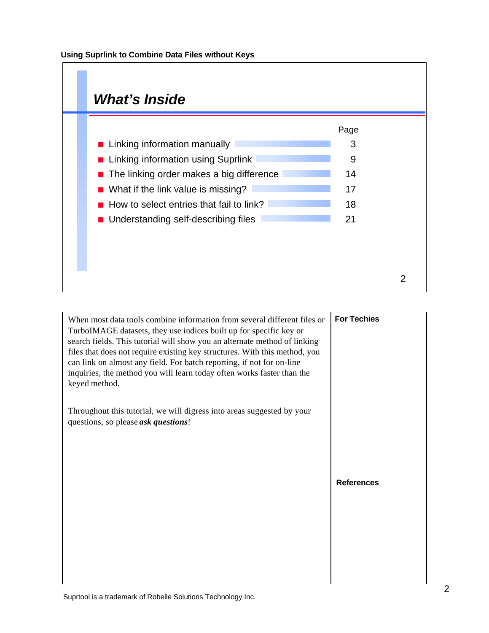

| When most data tools combine information from several different files or<br>TurboIMAGE datasets, they use indices built up for specific key or<br>search fields. This tutorial will show you an alternate method of linking<br>files that does not require existing key structures. With this method, you<br>can link on almost any field. For batch reporting, if not for on-line<br>inquiries, the method you will learn today often works faster than the<br>keyed method. | <b>For Techies</b> |
|-------------------------------------------------------------------------------------------------------------------------------------------------------------------------------------------------------------------------------------------------------------------------------------------------------------------------------------------------------------------------------------------------------------------------------------------------------------------------------|--------------------|
| Throughout this tutorial, we will digress into areas suggested by your<br>questions, so please <i>ask questions</i> !                                                                                                                                                                                                                                                                                                                                                         |                    |
|                                                                                                                                                                                                                                                                                                                                                                                                                                                                               | <b>References</b>  |
|                                                                                                                                                                                                                                                                                                                                                                                                                                                                               |                    |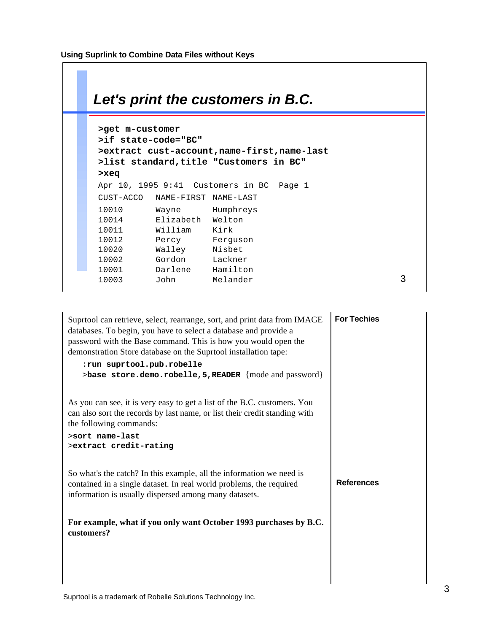

| Suprtool can retrieve, select, rearrange, sort, and print data from IMAGE<br>databases. To begin, you have to select a database and provide a<br>password with the Base command. This is how you would open the<br>demonstration Store database on the Suprtool installation tape:<br>:run suprtool.pub.robelle<br>>base store.demo.robelle, 5, READER {mode and password} | <b>For Techies</b> |
|----------------------------------------------------------------------------------------------------------------------------------------------------------------------------------------------------------------------------------------------------------------------------------------------------------------------------------------------------------------------------|--------------------|
| As you can see, it is very easy to get a list of the B.C. customers. You<br>can also sort the records by last name, or list their credit standing with<br>the following commands:<br>>sort name-last<br>>extract credit-rating                                                                                                                                             |                    |
| So what's the catch? In this example, all the information we need is<br>contained in a single dataset. In real world problems, the required<br>information is usually dispersed among many datasets.                                                                                                                                                                       | <b>References</b>  |
| For example, what if you only want October 1993 purchases by B.C.<br>customers?                                                                                                                                                                                                                                                                                            |                    |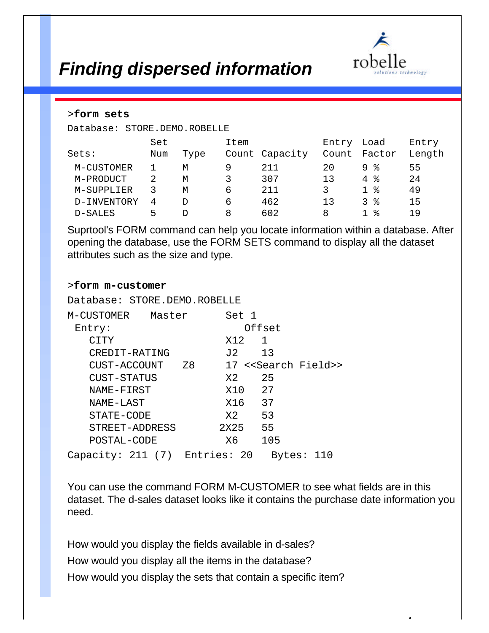

 $\overline{a}$ 

## *Finding dispersed information*

#### >**form sets**

Database: STORE.DEMO.ROBELLE

|             | Set |      | Item |                | Entry | Load              | Entry  |
|-------------|-----|------|------|----------------|-------|-------------------|--------|
| Sets:       | Num | Type |      | Count Capacity | Count | Factor            | Length |
| M-CUSTOMER  |     | М    | 9    | 211            | 20    | ႜ<br>9.           | 55     |
| M-PRODUCT   |     | М    | 3    | 307            |       | ႜ<br>4            | 2.4    |
| M-SUPPLIER  |     | M    | 6    | 211            | 3     | ႜ<br>$\mathbf{1}$ | 49     |
| D-INVENTORY | 4   | D    | 6    | 462            |       | 3<br>ႜ            | 15     |
| D-SALES     | ь,  | D    | 8    | 602            | 8     | ႜ                 | 19     |

Suprtool's FORM command can help you locate information within a database. After opening the database, use the FORM SETS command to display all the dataset attributes such as the size and type.

#### >**form m-customer**

Database: STORE.DEMO.ROBELLE

| M-CUSTOMER                    | Master |    | Set 1  |        |            |                                     |
|-------------------------------|--------|----|--------|--------|------------|-------------------------------------|
| Entry:                        |        |    |        | Offset |            |                                     |
| <b>CTTY</b>                   |        |    | X12.   | 1      |            |                                     |
| CREDIT-RATING                 |        |    |        | J2 13  |            |                                     |
| CUST-ACCOUNT                  |        | 78 |        |        |            | 17 < <search field="">&gt;</search> |
| CUST-STATUS                   |        |    | X2.    | 25     |            |                                     |
| NAME-FIRST                    |        |    |        | X10 27 |            |                                     |
| NAME-LAST                     |        |    | X16    | 37     |            |                                     |
| STATE-CODE                    |        |    | X2     | 53     |            |                                     |
| STREET-ADDRESS                |        |    | 2X25 - | 55     |            |                                     |
| POSTAL-CODE                   |        |    | X6.    |        | 105        |                                     |
| Capacity: 211 (7) Entries: 20 |        |    |        |        | Bytes: 110 |                                     |

You can use the command FORM M-CUSTOMER to see what fields are in this dataset. The d-sales dataset looks like it contains the purchase date information you need.

How would you display the fields available in d-sales? How would you display all the items in the database? How would you display the sets that contain a specific item?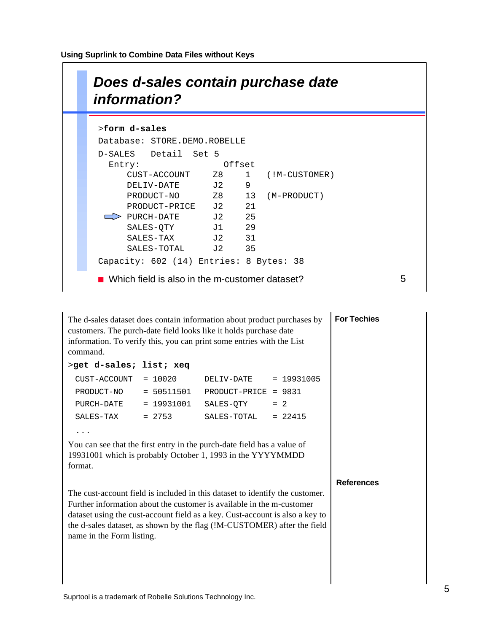**Using Suprlink to Combine Data Files without Keys**



| The d-sales dataset does contain information about product purchases by<br>customers. The purch-date field looks like it holds purchase date<br>information. To verify this, you can print some entries with the List<br>command.                                                                                                             | <b>For Techies</b> |                         |           |  |
|-----------------------------------------------------------------------------------------------------------------------------------------------------------------------------------------------------------------------------------------------------------------------------------------------------------------------------------------------|--------------------|-------------------------|-----------|--|
| >get d-sales; list; xeq                                                                                                                                                                                                                                                                                                                       |                    |                         |           |  |
| CUST-ACCOUNT                                                                                                                                                                                                                                                                                                                                  | $= 10020$          | $DELIV-DATE = 19931005$ |           |  |
| PRODUCT-NO                                                                                                                                                                                                                                                                                                                                    | $= 50511501$       | PRODUCT-PRICE = 9831    |           |  |
| PURCH-DATE                                                                                                                                                                                                                                                                                                                                    | $= 19931001$       | $SALES-QTY = 2$         |           |  |
| SALES-TAX                                                                                                                                                                                                                                                                                                                                     | $= 2753$           | SALES-TOTAL             | $= 22415$ |  |
| $\cdots$                                                                                                                                                                                                                                                                                                                                      |                    |                         |           |  |
| You can see that the first entry in the purch-date field has a value of<br>19931001 which is probably October 1, 1993 in the YYYYMMDD<br>format.                                                                                                                                                                                              |                    |                         |           |  |
| The cust-account field is included in this dataset to identify the customer.<br>Further information about the customer is available in the m-customer<br>dataset using the cust-account field as a key. Cust-account is also a key to<br>the d-sales dataset, as shown by the flag (!M-CUSTOMER) after the field<br>name in the Form listing. | <b>References</b>  |                         |           |  |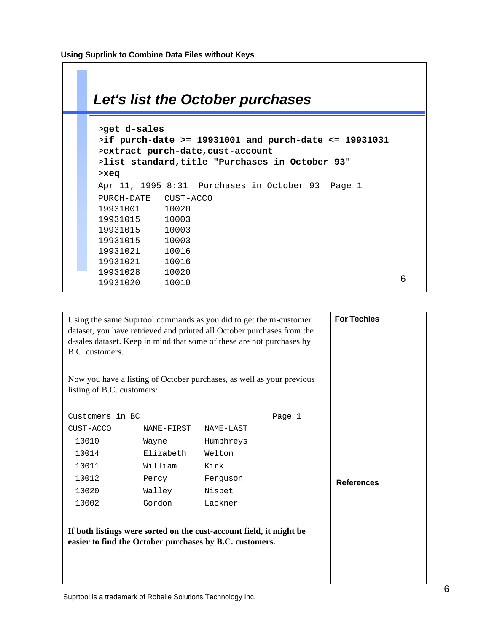## 6 *Let's list the October purchases* >**get d-sales** >**if purch-date >= 19931001 and purch-date <= 19931031** >**extract purch-date,cust-account** >**list standard,title "Purchases in October 93"** >**xeq** Apr 11, 1995 8:31 Purchases in October 93 Page 1 PURCH-DATE CUST-ACCO 19931001 10020 19931015 10003 19931015 10003 19931015 10003 19931021 10016 19931021 10016 19931028 10020 19931020 10010

**For Techies**

Using the same Suprtool commands as you did to get the m-customer dataset, you have retrieved and printed all October purchases from the d-sales dataset. Keep in mind that some of these are not purchases by B.C. customers.

Now you have a listing of October purchases, as well as your previous listing of B.C. customers:

|                   | Page 1 |           |            | Customers in BC |
|-------------------|--------|-----------|------------|-----------------|
|                   |        | NAME-LAST | NAME-FIRST | CUST-ACCO       |
|                   |        | Humphreys | Wayne      | 10010           |
|                   |        | Welton    | Elizabeth  | 10014           |
|                   |        | Kirk      | William    | 10011           |
| <b>References</b> |        | Ferquson  | Percy      | 10012           |
|                   |        | Nisbet    | Walley     | 10020           |
|                   |        | Lackner   | Gordon     | 10002           |

**If both listings were sorted on the cust-account field, it might be easier to find the October purchases by B.C. customers.**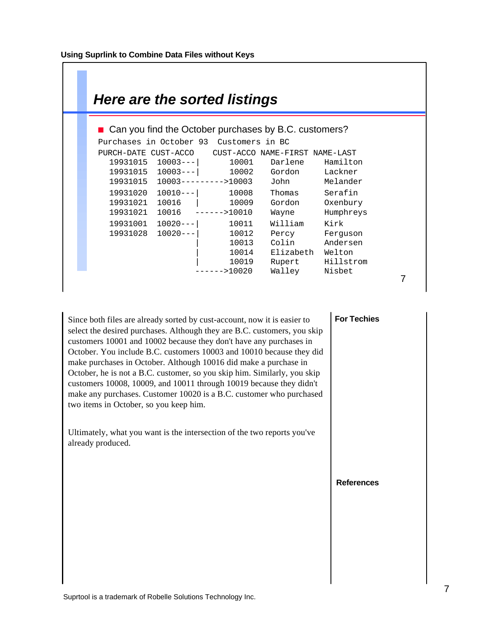$\mathcal{O}(\mathbb{R}^d)$ 

| Here are the sorted listings                                                                                                                                      |                         |                                        |                                        |  |
|-------------------------------------------------------------------------------------------------------------------------------------------------------------------|-------------------------|----------------------------------------|----------------------------------------|--|
| ■ Can you find the October purchases by B.C. customers?                                                                                                           |                         |                                        |                                        |  |
| Purchases in October 93 Customers in BC                                                                                                                           |                         |                                        |                                        |  |
| PURCH-DATE CUST-ACCO CUST-ACCO NAME-FIRST NAME-LAST<br>19931015 10003--- 10001 Darlene<br>19931015 10003--- 10002 Gordon Lackner<br>19931015 10003--------->10003 |                         | John Melander                          | Hamilton                               |  |
| 19931020 10010--- 10008<br>19931021 10016   10009<br>19931021 10016 ------>10010                                                                                  |                         | Thomas<br>Gordon<br>Wayne              | Serafin<br>Oxenbury<br>Humphreys       |  |
| 19931001 10020---  10011<br>19931028 10020---                                                                                                                     | 10012<br>10013<br>10014 | William<br>Percy<br>Colin<br>Elizabeth | Kirk<br>Ferquson<br>Andersen<br>Welton |  |
|                                                                                                                                                                   | 10019<br>------>10020   | Rupert<br>Walley Nisbet                | Hillstrom                              |  |

Since both files are already sorted by cust-account, now it is easier to select the desired purchases. Although they are B.C. customers, you skip customers 10001 and 10002 because they don't have any purchases in October. You include B.C. customers 10003 and 10010 because they did make purchases in October. Although 10016 did make a purchase in October, he is not a B.C. customer, so you skip him. Similarly, you skip customers 10008, 10009, and 10011 through 10019 because they didn't make any purchases. Customer 10020 is a B.C. customer who purchased two items in October, so you keep him.

Ultimately, what you want is the intersection of the two reports you've already produced.

### **For Techies**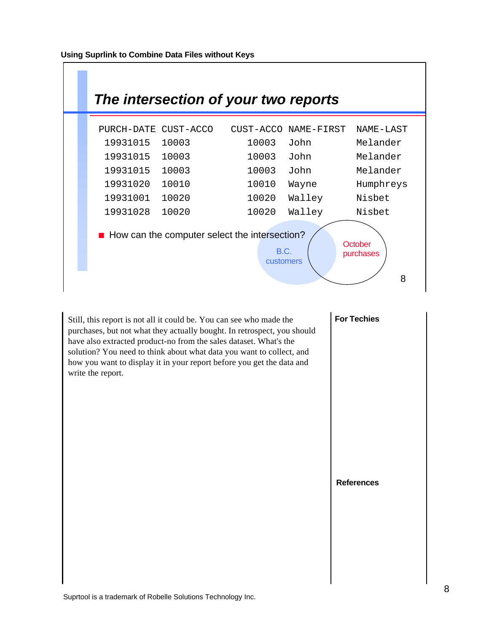

Still, this report is not all it could be. You can see who made the purchases, but not what they actually bought. In retrospect, you should have also extracted product-no from the sales dataset. What's the solution? You need to think about what data you want to collect, and how you want to display it in your report before you get the data and write the report.

## **For Techies**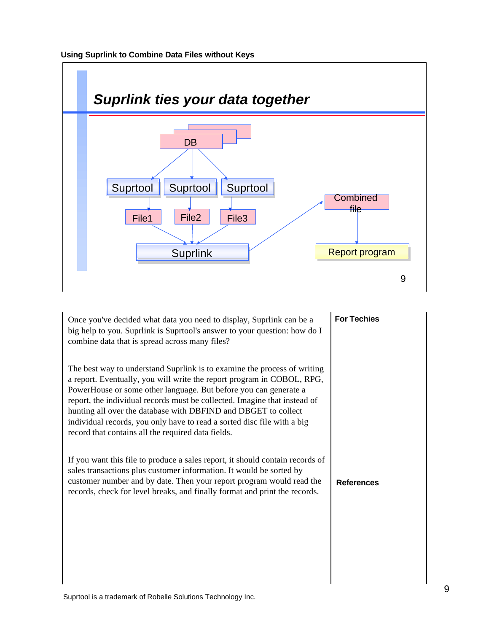

Once you've decided what data you need to display, Suprlink can be a big help to you. Suprlink is Suprtool's answer to your question: how do I combine data that is spread across many files?

The best way to understand Suprlink is to examine the process of writing a report. Eventually, you will write the report program in COBOL, RPG, PowerHouse or some other language. But before you can generate a report, the individual records must be collected. Imagine that instead of hunting all over the database with DBFIND and DBGET to collect individual records, you only have to read a sorted disc file with a big record that contains all the required data fields.

**References** If you want this file to produce a sales report, it should contain records of sales transactions plus customer information. It would be sorted by customer number and by date. Then your report program would read the records, check for level breaks, and finally format and print the records.

### **For Techies**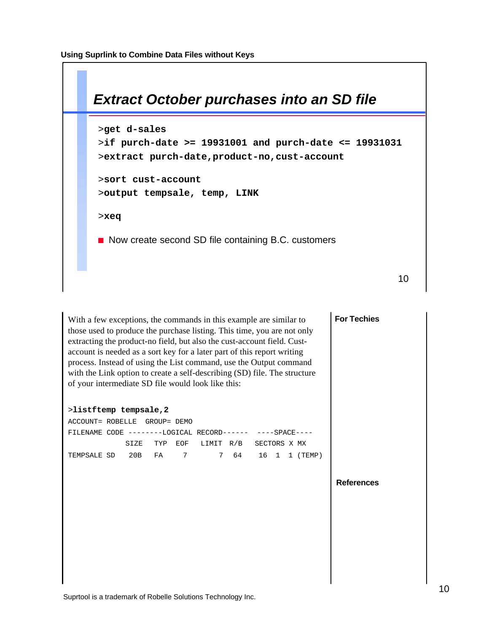

With a few exceptions, the commands in this example are similar to those used to produce the purchase listing. This time, you are not only extracting the product-no field, but also the cust-account field. Custaccount is needed as a sort key for a later part of this report writing process. Instead of using the List command, use the Output command with the Link option to create a self-describing (SD) file. The structure of your intermediate SD file would look like this:

**References** >**listftemp tempsale,2** ACCOUNT= ROBELLE GROUP= DEMO FILENAME CODE --------LOGICAL RECORD------ ----SPACE---- SIZE TYP EOF LIMIT R/B SECTORS X MX TEMPSALE SD 20B FA 7 7 64 16 1 1 (TEMP)

**For Techies**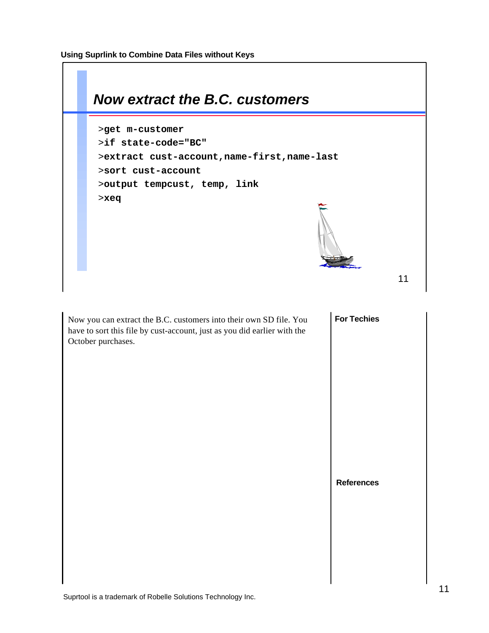**Using Suprlink to Combine Data Files without Keys**



October purchases.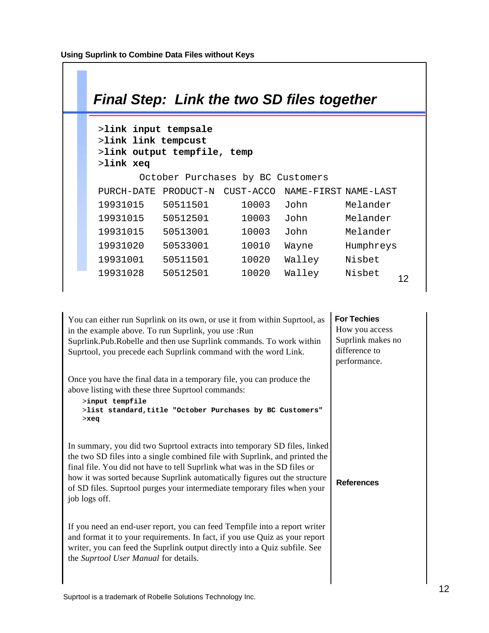| <b>Final Step: Link the two SD files together</b>                                       |           |                                   |                      |           |  |  |
|-----------------------------------------------------------------------------------------|-----------|-----------------------------------|----------------------|-----------|--|--|
| >link input tempsale<br>>link link tempcust<br>>link output tempfile, temp<br>>link xeq |           |                                   |                      |           |  |  |
|                                                                                         |           | October Purchases by BC Customers |                      |           |  |  |
| PURCH-DATE                                                                              | PRODUCT-N | CUST-ACCO                         | NAME-FIRST NAME-LAST |           |  |  |
| 19931015                                                                                | 50511501  | 10003                             | ٦ohn                 | Melander  |  |  |
| 19931015                                                                                | 50512501  | 10003                             | John                 | Melander  |  |  |
| 19931015                                                                                | 50513001  | 10003                             | ٦ohn                 | Melander  |  |  |
| 19931020                                                                                | 50533001  | 10010                             | Wayne                | Humphreys |  |  |
| 19931001                                                                                | 50511501  | 10020                             | Walley               | Nisbet    |  |  |
| 19931028                                                                                | 50512501  | 10020                             | Walley               | Nisbet    |  |  |

**For Techies References** You can either run Suprlink on its own, or use it from within Suprtool, as in the example above. To run Suprlink, you use :Run Suprlink.Pub.Robelle and then use Suprlink commands. To work within Suprtool, you precede each Suprlink command with the word Link. Once you have the final data in a temporary file, you can produce the above listing with these three Suprtool commands: >**input tempfile** >**list standard,title "October Purchases by BC Customers"** >**xeq** In summary, you did two Suprtool extracts into temporary SD files, linked the two SD files into a single combined file with Suprlink, and printed the final file. You did not have to tell Suprlink what was in the SD files or how it was sorted because Suprlink automatically figures out the structure of SD files. Suprtool purges your intermediate temporary files when your job logs off. If you need an end-user report, you can feed Tempfile into a report writer and format it to your requirements. In fact, if you use Quiz as your report writer, you can feed the Suprlink output directly into a Quiz subfile. See the *Suprtool User Manual* for details. How you access Suprlink makes no difference to performance.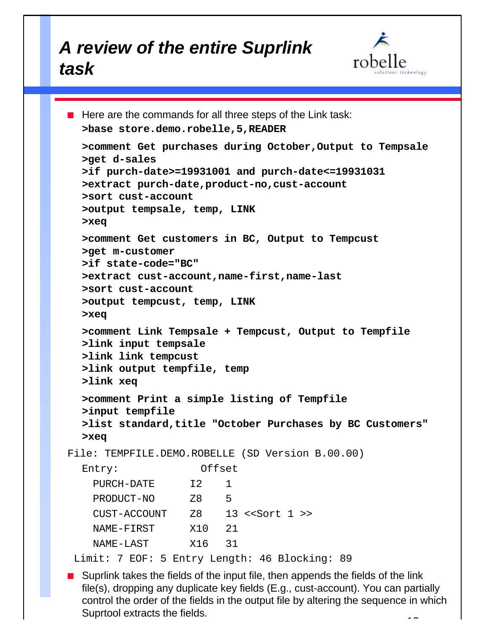# *A review of the entire Suprlink task*



```
\blacksquare Here are the commands for all three steps of the Link task:
  >base store.demo.robelle,5,READER
  >comment Get purchases during October,Output to Tempsale
  >get d-sales
  >if purch-date>=19931001 and purch-date<=19931031
  >extract purch-date,product-no,cust-account
  >sort cust-account
  >output tempsale, temp, LINK
  >xeq
  >comment Get customers in BC, Output to Tempcust
  >get m-customer
  >if state-code="BC"
  >extract cust-account,name-first,name-last
  >sort cust-account
  >output tempcust, temp, LINK
  >xeq
  >comment Link Tempsale + Tempcust, Output to Tempfile
  >link input tempsale
  >link link tempcust
  >link output tempfile, temp
  >link xeq
  >comment Print a simple listing of Tempfile
  >input tempfile
  >list standard,title "October Purchases by BC Customers"
  >xeq
File: TEMPFILE.DEMO.ROBELLE (SD Version B.00.00)
  Entry: Offset
    PURCH-DATE 12 1
     PRODUCT-NO Z8 5
    CUST-ACCOUNT Z8 13 <<Sort 1 >>
    NAME-FIRST X10 21
    NAME-LAST X16 31
  Limit: 7 EOF: 5 Entry Length: 46 Blocking: 89
```
**Notairm** Suprlink takes the fields of the input file, then appends the fields of the link file(s), dropping any duplicate key fields (E.g., cust-account). You can partially control the order of the fields in the output file by altering the sequence in which Suprtool extracts the fields.  $\ddot{\phantom{1}}$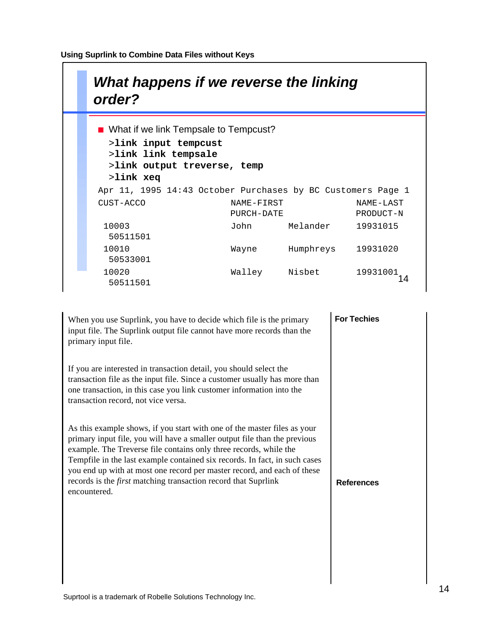| What happens if we reverse the linking<br>order?            |            |           |           |
|-------------------------------------------------------------|------------|-----------|-----------|
| ■ What if we link Tempsale to Tempcust?                     |            |           |           |
| >link input tempcust                                        |            |           |           |
| >link link tempsale<br>>link output treverse, temp          |            |           |           |
| >link xeq                                                   |            |           |           |
| Apr 11, 1995 14:43 October Purchases by BC Customers Page 1 |            |           |           |
| CUST-ACCO                                                   | NAME-FIRST |           | NAME-LAST |
|                                                             | PURCH-DATE |           | PRODUCT-N |
| 10003                                                       | John       | Melander  | 19931015  |
| 50511501                                                    |            |           |           |
| 10010<br>50533001                                           | Wayne      | Humphreys | 19931020  |
| 10020<br>50511501                                           | Walley     | Nisbet    | 19931001  |

**For Techies References** When you use Suprlink, you have to decide which file is the primary input file. The Suprlink output file cannot have more records than the primary input file. If you are interested in transaction detail, you should select the transaction file as the input file. Since a customer usually has more than one transaction, in this case you link customer information into the transaction record, not vice versa. As this example shows, if you start with one of the master files as your primary input file, you will have a smaller output file than the previous example. The Treverse file contains only three records, while the Tempfile in the last example contained six records. In fact, in such cases you end up with at most one record per master record, and each of these records is the *first* matching transaction record that Suprlink encountered.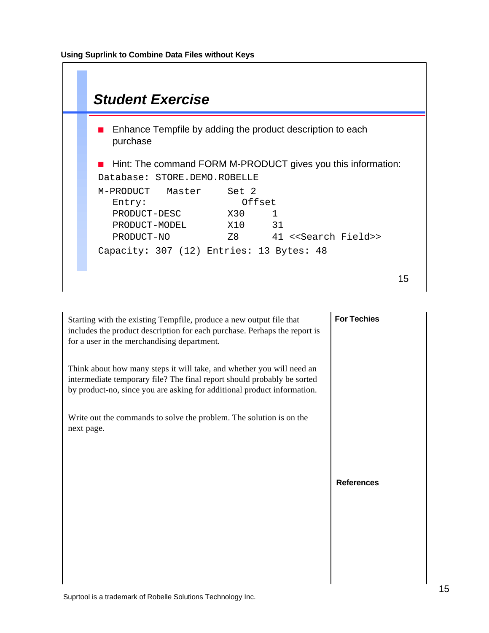

| Starting with the existing Tempfile, produce a new output file that<br>includes the product description for each purchase. Perhaps the report is<br>for a user in the merchandising department.                             | <b>For Techies</b> |
|-----------------------------------------------------------------------------------------------------------------------------------------------------------------------------------------------------------------------------|--------------------|
| Think about how many steps it will take, and whether you will need an<br>intermediate temporary file? The final report should probably be sorted<br>by product-no, since you are asking for additional product information. |                    |
| Write out the commands to solve the problem. The solution is on the<br>next page.                                                                                                                                           |                    |
|                                                                                                                                                                                                                             | <b>References</b>  |
|                                                                                                                                                                                                                             |                    |
|                                                                                                                                                                                                                             |                    |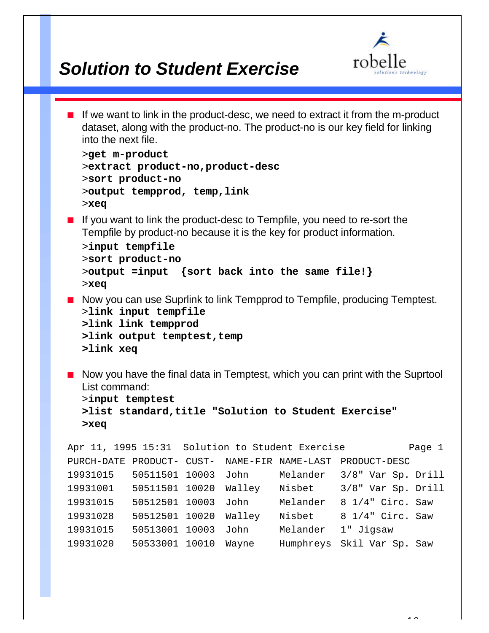

## *Solution to Student Exercise*

 $\blacksquare$  If we want to link in the product-desc, we need to extract it from the m-product dataset, along with the product-no. The product-no is our key field for linking into the next file. >**get m-product** >**extract product-no,product-desc** >**sort product-no** >**output tempprod, temp,link** >**xeq**  $\blacksquare$  If you want to link the product-desc to Tempfile, you need to re-sort the Tempfile by product-no because it is the key for product information. >**input tempfile** >**sort product-no** >**output =input {sort back into the same file!}** >**xeq** ■ Now you can use Suprlink to link Tempprod to Tempfile, producing Temptest. >**link input tempfile >link link tempprod** >link output temptest, temp **>link xeq**  $\blacksquare$  Now you have the final data in Temptest, which you can print with the Suprtool List command: >**input temptest >list standard,title "Solution to Student Exercise" >xeq** Apr 11, 1995 15:31 Solution to Student Exercise Theory Page 1 PURCH-DATE PRODUCT- CUST- NAME-FIR NAME-LAST PRODUCT-DESC 19931015 50511501 10003 John Melander 3/8" Var Sp. Drill 19931001 50511501 10020 Walley Nisbet 3/8" Var Sp. Drill 19931015 50512501 10003 John Melander 8 1/4" Circ. Saw 19931028 50512501 10020 Walley Nisbet 8 1/4" Circ. Saw 19931015 50513001 10003 John Melander 1" Jigsaw 19931020 50533001 10010 Wayne Humphreys Skil Var Sp. Saw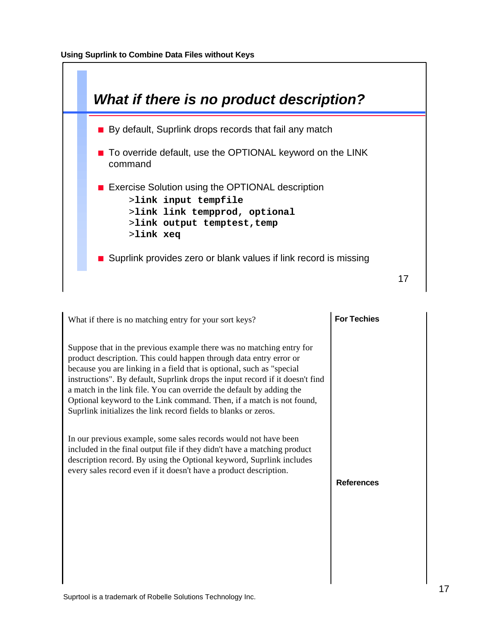

| What if there is no matching entry for your sort keys?                                                                                                                                                                                                                                                                                                                                                                                                                                                                  | <b>For Techies</b> |
|-------------------------------------------------------------------------------------------------------------------------------------------------------------------------------------------------------------------------------------------------------------------------------------------------------------------------------------------------------------------------------------------------------------------------------------------------------------------------------------------------------------------------|--------------------|
| Suppose that in the previous example there was no matching entry for<br>product description. This could happen through data entry error or<br>because you are linking in a field that is optional, such as "special<br>instructions". By default, Suprlink drops the input record if it doesn't find<br>a match in the link file. You can override the default by adding the<br>Optional keyword to the Link command. Then, if a match is not found,<br>Suprlink initializes the link record fields to blanks or zeros. |                    |
| In our previous example, some sales records would not have been<br>included in the final output file if they didn't have a matching product<br>description record. By using the Optional keyword, Suprlink includes<br>every sales record even if it doesn't have a product description.                                                                                                                                                                                                                                | <b>References</b>  |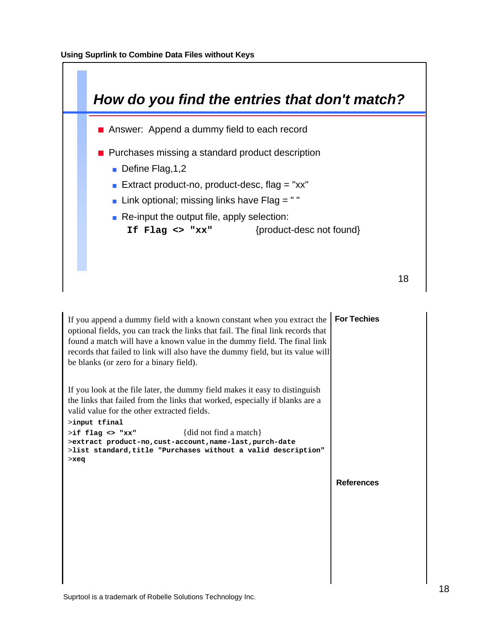

| If you append a dummy field with a known constant when you extract the<br>optional fields, you can track the links that fail. The final link records that<br>found a match will have a known value in the dummy field. The final link<br>records that failed to link will also have the dummy field, but its value will<br>be blanks (or zero for a binary field).                                                           | <b>For Techies</b> |
|------------------------------------------------------------------------------------------------------------------------------------------------------------------------------------------------------------------------------------------------------------------------------------------------------------------------------------------------------------------------------------------------------------------------------|--------------------|
| If you look at the file later, the dummy field makes it easy to distinguish<br>the links that failed from the links that worked, especially if blanks are a<br>valid value for the other extracted fields.<br>>input tfinal<br>{did not find a match}<br>$>\mathbf{if}$ flag <> "xx"<br>>extract product-no, cust-account, name-last, purch-date<br>>list standard, title "Purchases without a valid description"<br>$>$ xeq |                    |
|                                                                                                                                                                                                                                                                                                                                                                                                                              | <b>References</b>  |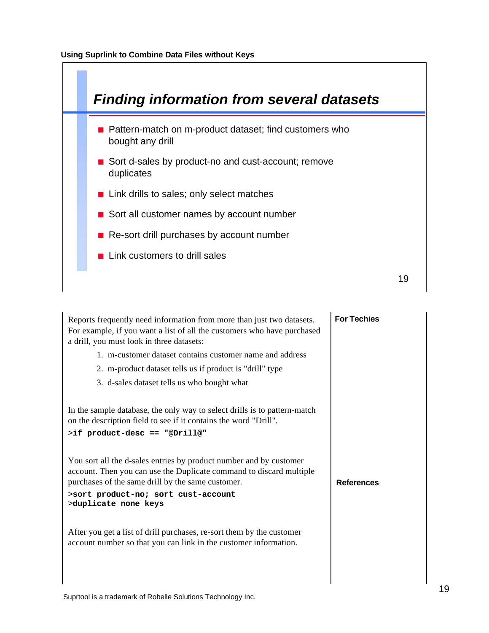

| Reports frequently need information from more than just two datasets.<br>For example, if you want a list of all the customers who have purchased<br>a drill, you must look in three datasets:<br>1. m-customer dataset contains customer name and address<br>2. m-product dataset tells us if product is "drill" type<br>3. d-sales dataset tells us who bought what | <b>For Techies</b> |
|----------------------------------------------------------------------------------------------------------------------------------------------------------------------------------------------------------------------------------------------------------------------------------------------------------------------------------------------------------------------|--------------------|
| In the sample database, the only way to select drills is to pattern-match<br>on the description field to see if it contains the word "Drill".<br>>if product-desc == "@Drill@"<br>You sort all the d-sales entries by product number and by customer<br>account. Then you can use the Duplicate command to discard multiple                                          |                    |
| purchases of the same drill by the same customer.<br>>sort product-no; sort cust-account<br>>duplicate none keys                                                                                                                                                                                                                                                     | <b>References</b>  |
| After you get a list of drill purchases, re-sort them by the customer<br>account number so that you can link in the customer information.                                                                                                                                                                                                                            |                    |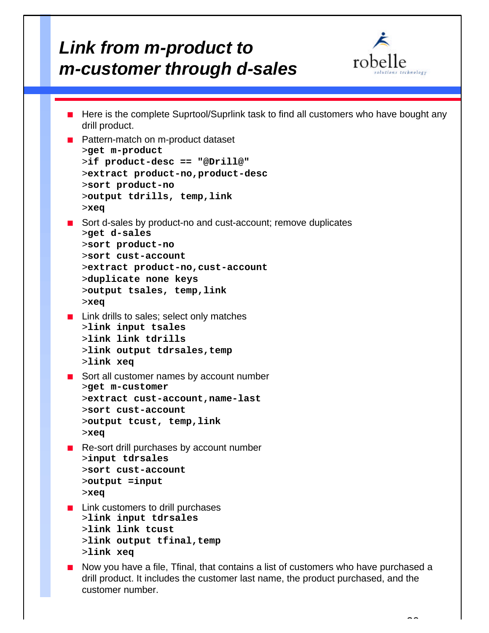# *Link from m-product to m-customer through d-sales*

customer number.



```
■ Here is the complete Suprtool/Suprlink task to find all customers who have bought any
   drill product.
■ Pattern-match on m-product dataset
   >get m-product
   >if product-desc == "@Drill@"
   >extract product-no,product-desc
   >sort product-no
   >output tdrills, temp,link
   >xeq
■ Sort d-sales by product-no and cust-account; remove duplicates
   >get d-sales
   >sort product-no
   >sort cust-account
   >extract product-no,cust-account
   >duplicate none keys
   >output tsales, temp,link
   >xeq
\blacksquare Link drills to sales; select only matches
   >link input tsales
   >link link tdrills
   >link output tdrsales,temp
   >link xeq
\blacksquare Sort all customer names by account number
   >get m-customer
   >extract cust-account,name-last
   >sort cust-account
   >output tcust, temp,link
   >xeq
■ Re-sort drill purchases by account number
   >input tdrsales
   >sort cust-account
   >output =input
   >xeq
\blacksquare Link customers to drill purchases
   >link input tdrsales
   >link link tcust
   >link output tfinal,temp
   >link xeq
n Now you have a file, Tfinal, that contains a list of customers who have purchased a
   drill product. It includes the customer last name, the product purchased, and the
```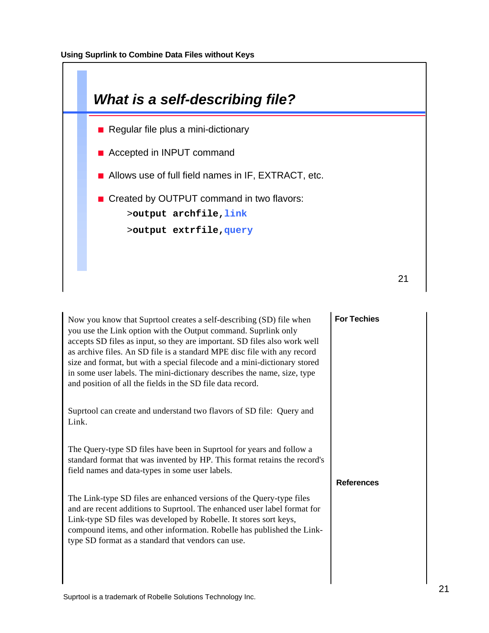

| Now you know that Suprtool creates a self-describing (SD) file when<br>you use the Link option with the Output command. Suprlink only<br>accepts SD files as input, so they are important. SD files also work well<br>as archive files. An SD file is a standard MPE disc file with any record<br>size and format, but with a special filecode and a mini-dictionary stored<br>in some user labels. The mini-dictionary describes the name, size, type<br>and position of all the fields in the SD file data record. | <b>For Techies</b> |  |
|----------------------------------------------------------------------------------------------------------------------------------------------------------------------------------------------------------------------------------------------------------------------------------------------------------------------------------------------------------------------------------------------------------------------------------------------------------------------------------------------------------------------|--------------------|--|
| Suprtool can create and understand two flavors of SD file: Query and<br>Link.                                                                                                                                                                                                                                                                                                                                                                                                                                        |                    |  |
| The Query-type SD files have been in Suprtool for years and follow a<br>standard format that was invented by HP. This format retains the record's<br>field names and data-types in some user labels.                                                                                                                                                                                                                                                                                                                 | <b>References</b>  |  |
| The Link-type SD files are enhanced versions of the Query-type files<br>and are recent additions to Suprtool. The enhanced user label format for<br>Link-type SD files was developed by Robelle. It stores sort keys,<br>compound items, and other information. Robelle has published the Link-<br>type SD format as a standard that vendors can use.                                                                                                                                                                |                    |  |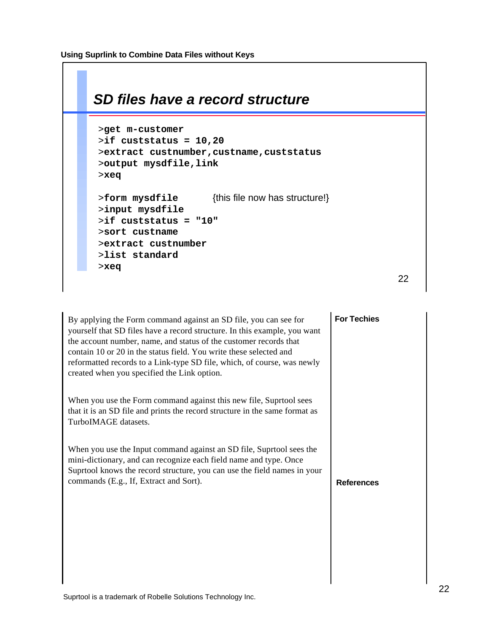| SD files have a record structure                                                                                                                                |
|-----------------------------------------------------------------------------------------------------------------------------------------------------------------|
| >get m-customer<br>$>$ if custstatus = 10,20<br>>extract custnumber, custname, custstatus<br>>output mysdfile,link<br>$>$ xeq                                   |
| {this file now has structure!}<br>>form mysdfile<br>>input mysdfile<br>>if custstatus = "10"<br>>sort custname<br>>extract custnumber<br>>list standard<br>>xeq |
| 22                                                                                                                                                              |

| By applying the Form command against an SD file, you can see for<br>yourself that SD files have a record structure. In this example, you want<br>the account number, name, and status of the customer records that<br>contain 10 or 20 in the status field. You write these selected and<br>reformatted records to a Link-type SD file, which, of course, was newly<br>created when you specified the Link option. | <b>For Techies</b> |
|--------------------------------------------------------------------------------------------------------------------------------------------------------------------------------------------------------------------------------------------------------------------------------------------------------------------------------------------------------------------------------------------------------------------|--------------------|
| When you use the Form command against this new file, Suprtool sees<br>that it is an SD file and prints the record structure in the same format as<br>TurboIMAGE datasets.                                                                                                                                                                                                                                          |                    |
| When you use the Input command against an SD file, Suprtool sees the<br>mini-dictionary, and can recognize each field name and type. Once<br>Suprtool knows the record structure, you can use the field names in your<br>commands (E.g., If, Extract and Sort).                                                                                                                                                    | <b>References</b>  |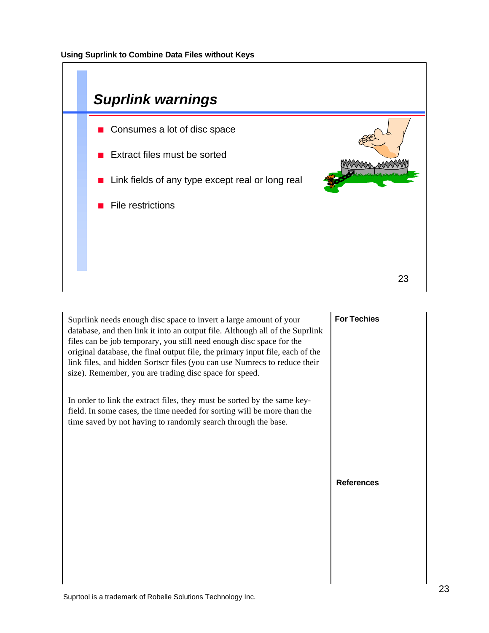

Suprlink needs enough disc space to invert a large amount of your database, and then link it into an output file. Although all of the Suprlink files can be job temporary, you still need enough disc space for the original database, the final output file, the primary input file, each of the link files, and hidden Sortscr files (you can use Numrecs to reduce their size). Remember, you are trading disc space for speed.

In order to link the extract files, they must be sorted by the same keyfield. In some cases, the time needed for sorting will be more than the time saved by not having to randomly search through the base.

### **For Techies**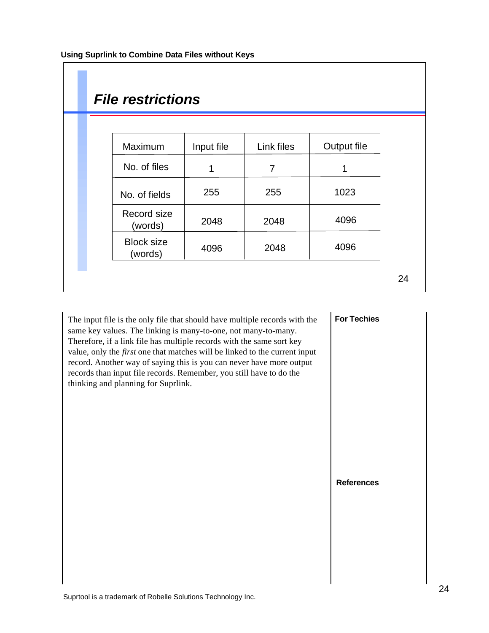| <b>File restrictions</b>     |            |                |             |
|------------------------------|------------|----------------|-------------|
|                              |            |                |             |
| Maximum                      | Input file | Link files     | Output file |
| No. of files                 | 1          | $\overline{7}$ | 1           |
| No. of fields                | 255        | 255            | 1023        |
| Record size<br>(words)       | 2048       | 2048           | 4096        |
| <b>Block size</b><br>(words) | 4096       | 2048           | 4096        |

The input file is the only file that should have multiple records with the same key values. The linking is many-to-one, not many-to-many. Therefore, if a link file has multiple records with the same sort key value, only the *first* one that matches will be linked to the current input record. Another way of saying this is you can never have more output records than input file records. Remember, you still have to do the thinking and planning for Suprlink.

**For Techies**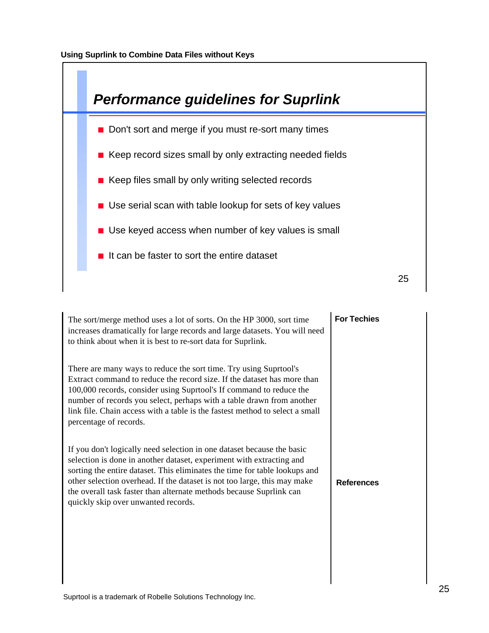

| The sort/merge method uses a lot of sorts. On the HP 3000, sort time<br>increases dramatically for large records and large datasets. You will need<br>to think about when it is best to re-sort data for Suprlink.                                                                                                                                                                                                     | <b>For Techies</b> |
|------------------------------------------------------------------------------------------------------------------------------------------------------------------------------------------------------------------------------------------------------------------------------------------------------------------------------------------------------------------------------------------------------------------------|--------------------|
| There are many ways to reduce the sort time. Try using Suprtool's<br>Extract command to reduce the record size. If the dataset has more than<br>100,000 records, consider using Suprtool's If command to reduce the<br>number of records you select, perhaps with a table drawn from another<br>link file. Chain access with a table is the fastest method to select a small<br>percentage of records.                 |                    |
| If you don't logically need selection in one dataset because the basic<br>selection is done in another dataset, experiment with extracting and<br>sorting the entire dataset. This eliminates the time for table lookups and<br>other selection overhead. If the dataset is not too large, this may make<br>the overall task faster than alternate methods because Suprlink can<br>quickly skip over unwanted records. | <b>References</b>  |